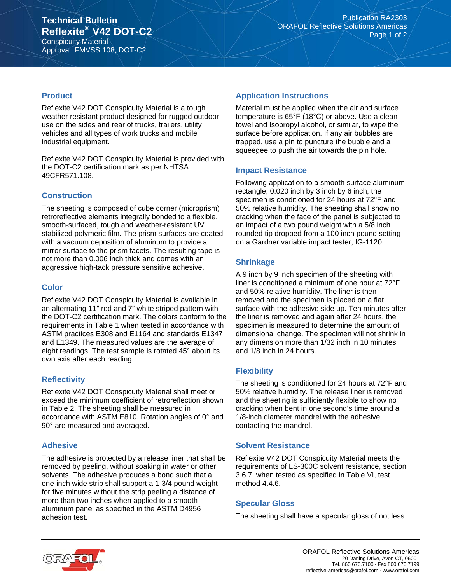Approval: FMVSS 108, DOT-C2

### **Product**

Reflexite V42 DOT Conspicuity Material is a tough weather resistant product designed for rugged outdoor use on the sides and rear of trucks, trailers, utility vehicles and all types of work trucks and mobile industrial equipment.

Reflexite V42 DOT Conspicuity Material is provided with the DOT-C2 certification mark as per NHTSA 49CFR571.108.

## **Construction**

The sheeting is composed of cube corner (microprism) retroreflective elements integrally bonded to a flexible, smooth-surfaced, tough and weather-resistant UV stabilized polymeric film. The prism surfaces are coated with a vacuum deposition of aluminum to provide a mirror surface to the prism facets. The resulting tape is not more than 0.006 inch thick and comes with an aggressive high-tack pressure sensitive adhesive.

## **Color**

Reflexite V42 DOT Conspicuity Material is available in an alternating 11" red and 7" white striped pattern with the DOT-C2 certification mark. The colors conform to the requirements in Table 1 when tested in accordance with ASTM practices E308 and E1164 and standards E1347 and E1349. The measured values are the average of eight readings. The test sample is rotated 45° about its own axis after each reading.

## **Reflectivity**

Reflexite V42 DOT Conspicuity Material shall meet or exceed the minimum coefficient of retroreflection shown in Table 2. The sheeting shall be measured in accordance with ASTM E810. Rotation angles of 0° and 90° are measured and averaged.

## **Adhesive**

The adhesive is protected by a release liner that shall be removed by peeling, without soaking in water or other solvents. The adhesive produces a bond such that a one-inch wide strip shall support a 1-3/4 pound weight for five minutes without the strip peeling a distance of more than two inches when applied to a smooth aluminum panel as specified in the ASTM D4956 adhesion test.

# **Application Instructions**

Material must be applied when the air and surface temperature is 65°F (18°C) or above. Use a clean towel and Isopropyl alcohol, or similar, to wipe the surface before application. If any air bubbles are trapped, use a pin to puncture the bubble and a squeegee to push the air towards the pin hole.

## **Impact Resistance**

Following application to a smooth surface aluminum rectangle, 0.020 inch by 3 inch by 6 inch, the specimen is conditioned for 24 hours at 72°F and 50% relative humidity. The sheeting shall show no cracking when the face of the panel is subjected to an impact of a two pound weight with a 5/8 inch rounded tip dropped from a 100 inch pound setting on a Gardner variable impact tester, IG-1120.

## **Shrinkage**

A 9 inch by 9 inch specimen of the sheeting with liner is conditioned a minimum of one hour at 72°F and 50% relative humidity. The liner is then removed and the specimen is placed on a flat surface with the adhesive side up. Ten minutes after the liner is removed and again after 24 hours, the specimen is measured to determine the amount of dimensional change. The specimen will not shrink in any dimension more than 1/32 inch in 10 minutes and 1/8 inch in 24 hours.

## **Flexibility**

The sheeting is conditioned for 24 hours at 72°F and 50% relative humidity. The release liner is removed and the sheeting is sufficiently flexible to show no cracking when bent in one second's time around a 1/8-inch diameter mandrel with the adhesive contacting the mandrel.

## **Solvent Resistance**

Reflexite V42 DOT Conspicuity Material meets the requirements of LS-300C solvent resistance, section 3.6.7, when tested as specified in Table VI, test method 4.4.6.

#### **Specular Gloss**

The sheeting shall have a specular gloss of not less